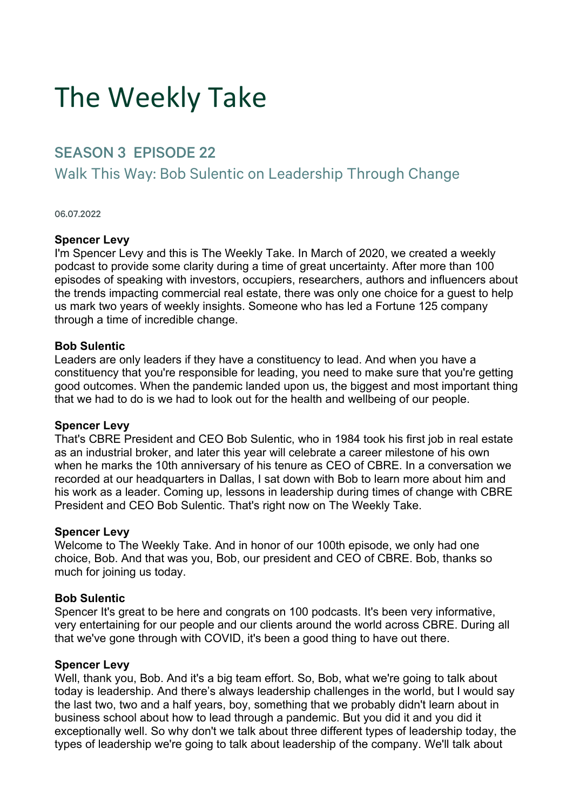# The Weekly Take

# SEASON 3 EPISODE 22

# Walk This Way: Bob Sulentic on Leadership Through Change

#### 06.07.2022

#### **Spencer Levy**

I'm Spencer Levy and this is The Weekly Take. In March of 2020, we created a weekly podcast to provide some clarity during a time of great uncertainty. After more than 100 episodes of speaking with investors, occupiers, researchers, authors and influencers about the trends impacting commercial real estate, there was only one choice for a guest to help us mark two years of weekly insights. Someone who has led a Fortune 125 company through a time of incredible change.

#### **Bob Sulentic**

Leaders are only leaders if they have a constituency to lead. And when you have a constituency that you're responsible for leading, you need to make sure that you're getting good outcomes. When the pandemic landed upon us, the biggest and most important thing that we had to do is we had to look out for the health and wellbeing of our people.

#### **Spencer Levy**

That's CBRE President and CEO Bob Sulentic, who in 1984 took his first job in real estate as an industrial broker, and later this year will celebrate a career milestone of his own when he marks the 10th anniversary of his tenure as CEO of CBRE. In a conversation we recorded at our headquarters in Dallas, I sat down with Bob to learn more about him and his work as a leader. Coming up, lessons in leadership during times of change with CBRE President and CEO Bob Sulentic. That's right now on The Weekly Take.

#### **Spencer Levy**

Welcome to The Weekly Take. And in honor of our 100th episode, we only had one choice, Bob. And that was you, Bob, our president and CEO of CBRE. Bob, thanks so much for joining us today.

#### **Bob Sulentic**

Spencer It's great to be here and congrats on 100 podcasts. It's been very informative, very entertaining for our people and our clients around the world across CBRE. During all that we've gone through with COVID, it's been a good thing to have out there.

#### **Spencer Levy**

Well, thank you, Bob. And it's a big team effort. So, Bob, what we're going to talk about today is leadership. And there's always leadership challenges in the world, but I would say the last two, two and a half years, boy, something that we probably didn't learn about in business school about how to lead through a pandemic. But you did it and you did it exceptionally well. So why don't we talk about three different types of leadership today, the types of leadership we're going to talk about leadership of the company. We'll talk about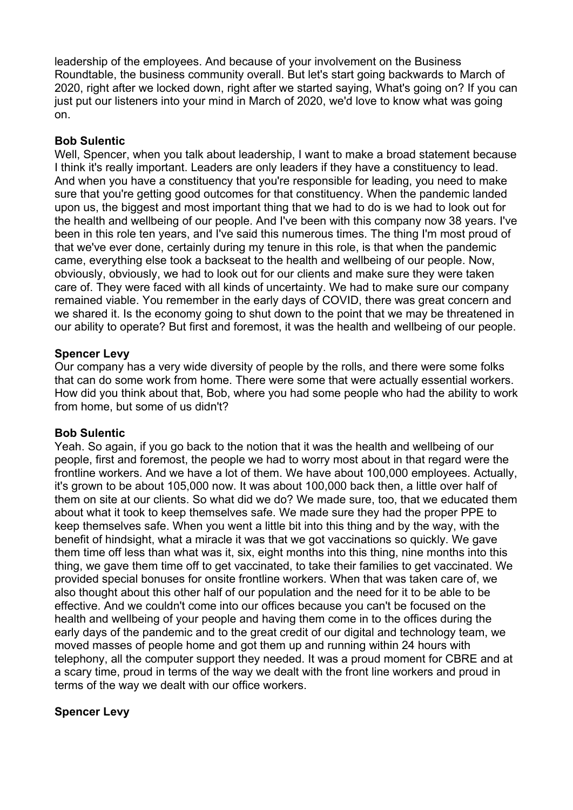leadership of the employees. And because of your involvement on the Business Roundtable, the business community overall. But let's start going backwards to March of 2020, right after we locked down, right after we started saying, What's going on? If you can just put our listeners into your mind in March of 2020, we'd love to know what was going on.

## **Bob Sulentic**

Well, Spencer, when you talk about leadership, I want to make a broad statement because I think it's really important. Leaders are only leaders if they have a constituency to lead. And when you have a constituency that you're responsible for leading, you need to make sure that you're getting good outcomes for that constituency. When the pandemic landed upon us, the biggest and most important thing that we had to do is we had to look out for the health and wellbeing of our people. And I've been with this company now 38 years. I've been in this role ten years, and I've said this numerous times. The thing I'm most proud of that we've ever done, certainly during my tenure in this role, is that when the pandemic came, everything else took a backseat to the health and wellbeing of our people. Now, obviously, obviously, we had to look out for our clients and make sure they were taken care of. They were faced with all kinds of uncertainty. We had to make sure our company remained viable. You remember in the early days of COVID, there was great concern and we shared it. Is the economy going to shut down to the point that we may be threatened in our ability to operate? But first and foremost, it was the health and wellbeing of our people.

#### **Spencer Levy**

Our company has a very wide diversity of people by the rolls, and there were some folks that can do some work from home. There were some that were actually essential workers. How did you think about that, Bob, where you had some people who had the ability to work from home, but some of us didn't?

#### **Bob Sulentic**

Yeah. So again, if you go back to the notion that it was the health and wellbeing of our people, first and foremost, the people we had to worry most about in that regard were the frontline workers. And we have a lot of them. We have about 100,000 employees. Actually, it's grown to be about 105,000 now. It was about 100,000 back then, a little over half of them on site at our clients. So what did we do? We made sure, too, that we educated them about what it took to keep themselves safe. We made sure they had the proper PPE to keep themselves safe. When you went a little bit into this thing and by the way, with the benefit of hindsight, what a miracle it was that we got vaccinations so quickly. We gave them time off less than what was it, six, eight months into this thing, nine months into this thing, we gave them time off to get vaccinated, to take their families to get vaccinated. We provided special bonuses for onsite frontline workers. When that was taken care of, we also thought about this other half of our population and the need for it to be able to be effective. And we couldn't come into our offices because you can't be focused on the health and wellbeing of your people and having them come in to the offices during the early days of the pandemic and to the great credit of our digital and technology team, we moved masses of people home and got them up and running within 24 hours with telephony, all the computer support they needed. It was a proud moment for CBRE and at a scary time, proud in terms of the way we dealt with the front line workers and proud in terms of the way we dealt with our office workers.

# **Spencer Levy**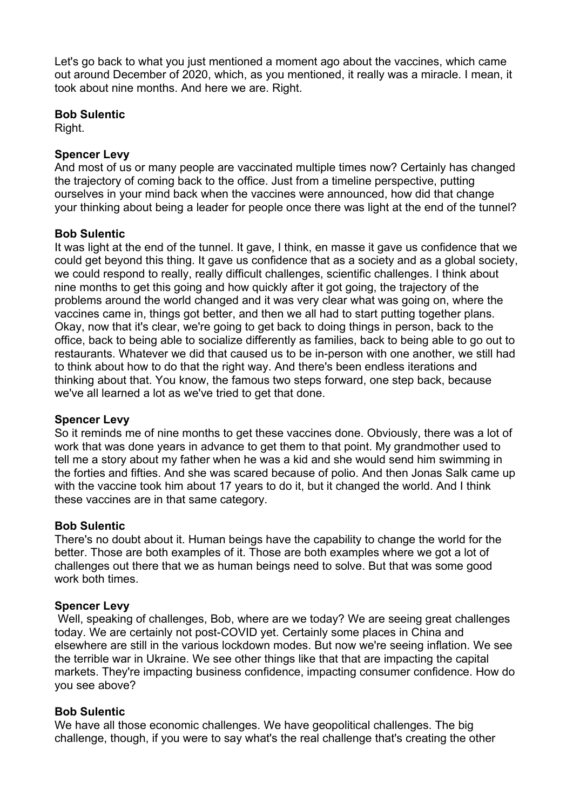Let's go back to what you just mentioned a moment ago about the vaccines, which came out around December of 2020, which, as you mentioned, it really was a miracle. I mean, it took about nine months. And here we are. Right.

#### **Bob Sulentic**

Right.

#### **Spencer Levy**

And most of us or many people are vaccinated multiple times now? Certainly has changed the trajectory of coming back to the office. Just from a timeline perspective, putting ourselves in your mind back when the vaccines were announced, how did that change your thinking about being a leader for people once there was light at the end of the tunnel?

## **Bob Sulentic**

It was light at the end of the tunnel. It gave, I think, en masse it gave us confidence that we could get beyond this thing. It gave us confidence that as a society and as a global society, we could respond to really, really difficult challenges, scientific challenges. I think about nine months to get this going and how quickly after it got going, the trajectory of the problems around the world changed and it was very clear what was going on, where the vaccines came in, things got better, and then we all had to start putting together plans. Okay, now that it's clear, we're going to get back to doing things in person, back to the office, back to being able to socialize differently as families, back to being able to go out to restaurants. Whatever we did that caused us to be in-person with one another, we still had to think about how to do that the right way. And there's been endless iterations and thinking about that. You know, the famous two steps forward, one step back, because we've all learned a lot as we've tried to get that done.

#### **Spencer Levy**

So it reminds me of nine months to get these vaccines done. Obviously, there was a lot of work that was done years in advance to get them to that point. My grandmother used to tell me a story about my father when he was a kid and she would send him swimming in the forties and fifties. And she was scared because of polio. And then Jonas Salk came up with the vaccine took him about 17 years to do it, but it changed the world. And I think these vaccines are in that same category.

#### **Bob Sulentic**

There's no doubt about it. Human beings have the capability to change the world for the better. Those are both examples of it. Those are both examples where we got a lot of challenges out there that we as human beings need to solve. But that was some good work both times.

#### **Spencer Levy**

Well, speaking of challenges, Bob, where are we today? We are seeing great challenges today. We are certainly not post-COVID yet. Certainly some places in China and elsewhere are still in the various lockdown modes. But now we're seeing inflation. We see the terrible war in Ukraine. We see other things like that that are impacting the capital markets. They're impacting business confidence, impacting consumer confidence. How do you see above?

#### **Bob Sulentic**

We have all those economic challenges. We have geopolitical challenges. The big challenge, though, if you were to say what's the real challenge that's creating the other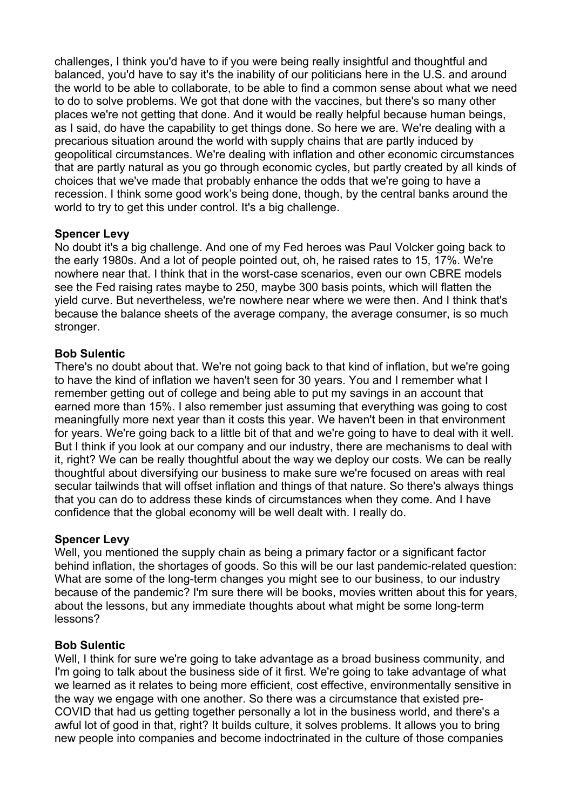challenges, I think you'd have to if you were being really insightful and thoughtful and balanced, you'd have to say it's the inability of our politicians here in the U.S. and around the world to be able to collaborate, to be able to find a common sense about what we need to do to solve problems. We got that done with the vaccines, but there's so many other places we're not getting that done. And it would be really helpful because human beings, as I said, do have the capability to get things done. So here we are. We're dealing with a precarious situation around the world with supply chains that are partly induced by geopolitical circumstances. We're dealing with inflation and other economic circumstances that are partly natural as you go through economic cycles, but partly created by all kinds of choices that we've made that probably enhance the odds that we're going to have a recession. I think some good work's being done, though, by the central banks around the world to try to get this under control. It's a big challenge.

## **Spencer Levy**

No doubt it's a big challenge. And one of my Fed heroes was Paul Volcker going back to the early 1980s. And a lot of people pointed out, oh, he raised rates to 15, 17%. We're nowhere near that. I think that in the worst-case scenarios, even our own CBRE models see the Fed raising rates maybe to 250, maybe 300 basis points, which will flatten the yield curve. But nevertheless, we're nowhere near where we were then. And I think that's because the balance sheets of the average company, the average consumer, is so much stronger.

## **Bob Sulentic**

There's no doubt about that. We're not going back to that kind of inflation, but we're going to have the kind of inflation we haven't seen for 30 years. You and I remember what I remember getting out of college and being able to put my savings in an account that earned more than 15%. I also remember just assuming that everything was going to cost meaningfully more next year than it costs this year. We haven't been in that environment for years. We're going back to a little bit of that and we're going to have to deal with it well. But I think if you look at our company and our industry, there are mechanisms to deal with it, right? We can be really thoughtful about the way we deploy our costs. We can be really thoughtful about diversifying our business to make sure we're focused on areas with real secular tailwinds that will offset inflation and things of that nature. So there's always things that you can do to address these kinds of circumstances when they come. And I have confidence that the global economy will be well dealt with. I really do.

# **Spencer Levy**

Well, you mentioned the supply chain as being a primary factor or a significant factor behind inflation, the shortages of goods. So this will be our last pandemic-related question: What are some of the long-term changes you might see to our business, to our industry because of the pandemic? I'm sure there will be books, movies written about this for years, about the lessons, but any immediate thoughts about what might be some long-term lessons?

#### **Bob Sulentic**

Well, I think for sure we're going to take advantage as a broad business community, and I'm going to talk about the business side of it first. We're going to take advantage of what we learned as it relates to being more efficient, cost effective, environmentally sensitive in the way we engage with one another. So there was a circumstance that existed pre-COVID that had us getting together personally a lot in the business world, and there's a awful lot of good in that, right? It builds culture, it solves problems. It allows you to bring new people into companies and become indoctrinated in the culture of those companies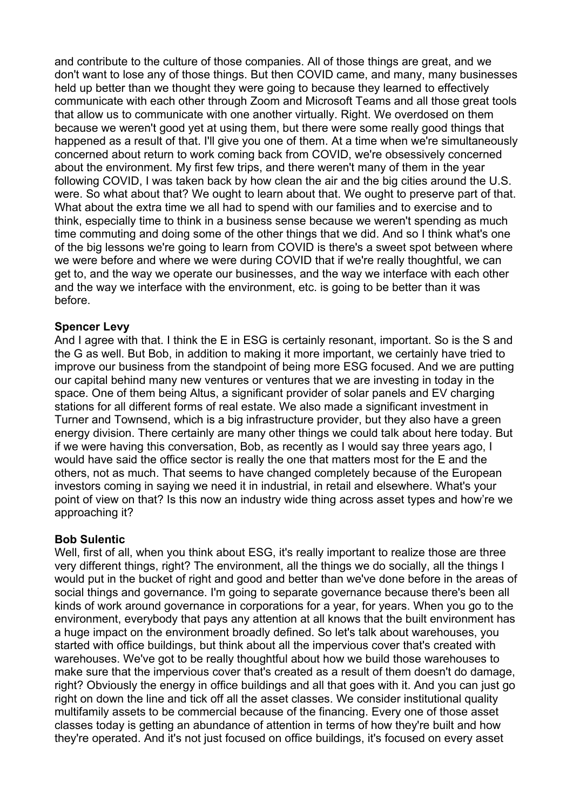and contribute to the culture of those companies. All of those things are great, and we don't want to lose any of those things. But then COVID came, and many, many businesses held up better than we thought they were going to because they learned to effectively communicate with each other through Zoom and Microsoft Teams and all those great tools that allow us to communicate with one another virtually. Right. We overdosed on them because we weren't good yet at using them, but there were some really good things that happened as a result of that. I'll give you one of them. At a time when we're simultaneously concerned about return to work coming back from COVID, we're obsessively concerned about the environment. My first few trips, and there weren't many of them in the year following COVID, I was taken back by how clean the air and the big cities around the U.S. were. So what about that? We ought to learn about that. We ought to preserve part of that. What about the extra time we all had to spend with our families and to exercise and to think, especially time to think in a business sense because we weren't spending as much time commuting and doing some of the other things that we did. And so I think what's one of the big lessons we're going to learn from COVID is there's a sweet spot between where we were before and where we were during COVID that if we're really thoughtful, we can get to, and the way we operate our businesses, and the way we interface with each other and the way we interface with the environment, etc. is going to be better than it was before.

#### **Spencer Levy**

And I agree with that. I think the E in ESG is certainly resonant, important. So is the S and the G as well. But Bob, in addition to making it more important, we certainly have tried to improve our business from the standpoint of being more ESG focused. And we are putting our capital behind many new ventures or ventures that we are investing in today in the space. One of them being Altus, a significant provider of solar panels and EV charging stations for all different forms of real estate. We also made a significant investment in Turner and Townsend, which is a big infrastructure provider, but they also have a green energy division. There certainly are many other things we could talk about here today. But if we were having this conversation, Bob, as recently as I would say three years ago, I would have said the office sector is really the one that matters most for the E and the others, not as much. That seems to have changed completely because of the European investors coming in saying we need it in industrial, in retail and elsewhere. What's your point of view on that? Is this now an industry wide thing across asset types and how're we approaching it?

# **Bob Sulentic**

Well, first of all, when you think about ESG, it's really important to realize those are three very different things, right? The environment, all the things we do socially, all the things I would put in the bucket of right and good and better than we've done before in the areas of social things and governance. I'm going to separate governance because there's been all kinds of work around governance in corporations for a year, for years. When you go to the environment, everybody that pays any attention at all knows that the built environment has a huge impact on the environment broadly defined. So let's talk about warehouses, you started with office buildings, but think about all the impervious cover that's created with warehouses. We've got to be really thoughtful about how we build those warehouses to make sure that the impervious cover that's created as a result of them doesn't do damage, right? Obviously the energy in office buildings and all that goes with it. And you can just go right on down the line and tick off all the asset classes. We consider institutional quality multifamily assets to be commercial because of the financing. Every one of those asset classes today is getting an abundance of attention in terms of how they're built and how they're operated. And it's not just focused on office buildings, it's focused on every asset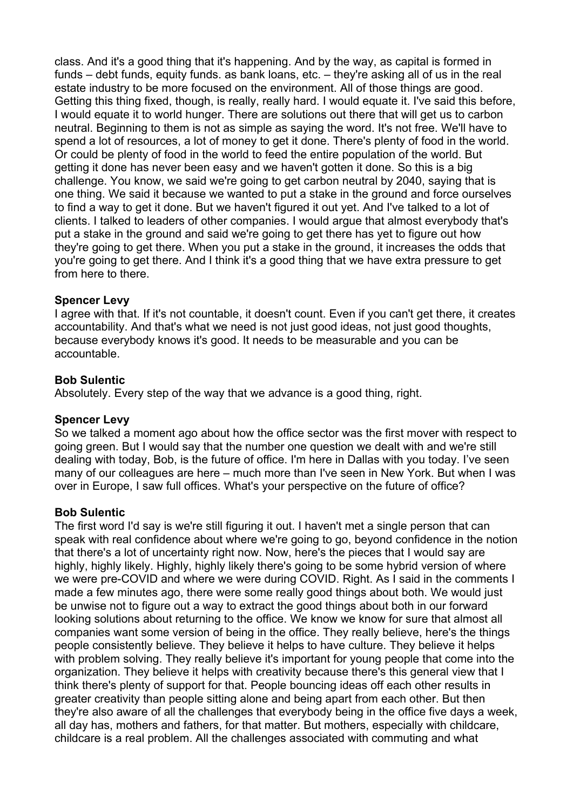class. And it's a good thing that it's happening. And by the way, as capital is formed in funds – debt funds, equity funds. as bank loans, etc. – they're asking all of us in the real estate industry to be more focused on the environment. All of those things are good. Getting this thing fixed, though, is really, really hard. I would equate it. I've said this before, I would equate it to world hunger. There are solutions out there that will get us to carbon neutral. Beginning to them is not as simple as saying the word. It's not free. We'll have to spend a lot of resources, a lot of money to get it done. There's plenty of food in the world. Or could be plenty of food in the world to feed the entire population of the world. But getting it done has never been easy and we haven't gotten it done. So this is a big challenge. You know, we said we're going to get carbon neutral by 2040, saying that is one thing. We said it because we wanted to put a stake in the ground and force ourselves to find a way to get it done. But we haven't figured it out yet. And I've talked to a lot of clients. I talked to leaders of other companies. I would argue that almost everybody that's put a stake in the ground and said we're going to get there has yet to figure out how they're going to get there. When you put a stake in the ground, it increases the odds that you're going to get there. And I think it's a good thing that we have extra pressure to get from here to there.

#### **Spencer Levy**

I agree with that. If it's not countable, it doesn't count. Even if you can't get there, it creates accountability. And that's what we need is not just good ideas, not just good thoughts, because everybody knows it's good. It needs to be measurable and you can be accountable.

#### **Bob Sulentic**

Absolutely. Every step of the way that we advance is a good thing, right.

#### **Spencer Levy**

So we talked a moment ago about how the office sector was the first mover with respect to going green. But I would say that the number one question we dealt with and we're still dealing with today, Bob, is the future of office. I'm here in Dallas with you today. I've seen many of our colleagues are here – much more than I've seen in New York. But when I was over in Europe, I saw full offices. What's your perspective on the future of office?

#### **Bob Sulentic**

The first word I'd say is we're still figuring it out. I haven't met a single person that can speak with real confidence about where we're going to go, beyond confidence in the notion that there's a lot of uncertainty right now. Now, here's the pieces that I would say are highly, highly likely. Highly, highly likely there's going to be some hybrid version of where we were pre-COVID and where we were during COVID. Right. As I said in the comments I made a few minutes ago, there were some really good things about both. We would just be unwise not to figure out a way to extract the good things about both in our forward looking solutions about returning to the office. We know we know for sure that almost all companies want some version of being in the office. They really believe, here's the things people consistently believe. They believe it helps to have culture. They believe it helps with problem solving. They really believe it's important for young people that come into the organization. They believe it helps with creativity because there's this general view that I think there's plenty of support for that. People bouncing ideas off each other results in greater creativity than people sitting alone and being apart from each other. But then they're also aware of all the challenges that everybody being in the office five days a week, all day has, mothers and fathers, for that matter. But mothers, especially with childcare, childcare is a real problem. All the challenges associated with commuting and what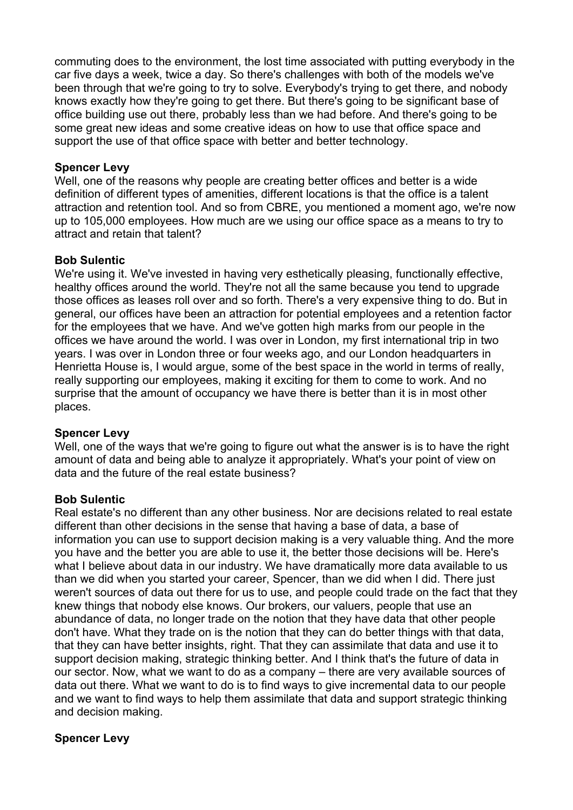commuting does to the environment, the lost time associated with putting everybody in the car five days a week, twice a day. So there's challenges with both of the models we've been through that we're going to try to solve. Everybody's trying to get there, and nobody knows exactly how they're going to get there. But there's going to be significant base of office building use out there, probably less than we had before. And there's going to be some great new ideas and some creative ideas on how to use that office space and support the use of that office space with better and better technology.

## **Spencer Levy**

Well, one of the reasons why people are creating better offices and better is a wide definition of different types of amenities, different locations is that the office is a talent attraction and retention tool. And so from CBRE, you mentioned a moment ago, we're now up to 105,000 employees. How much are we using our office space as a means to try to attract and retain that talent?

#### **Bob Sulentic**

We're using it. We've invested in having very esthetically pleasing, functionally effective, healthy offices around the world. They're not all the same because you tend to upgrade those offices as leases roll over and so forth. There's a very expensive thing to do. But in general, our offices have been an attraction for potential employees and a retention factor for the employees that we have. And we've gotten high marks from our people in the offices we have around the world. I was over in London, my first international trip in two years. I was over in London three or four weeks ago, and our London headquarters in Henrietta House is, I would argue, some of the best space in the world in terms of really, really supporting our employees, making it exciting for them to come to work. And no surprise that the amount of occupancy we have there is better than it is in most other places.

#### **Spencer Levy**

Well, one of the ways that we're going to figure out what the answer is is to have the right amount of data and being able to analyze it appropriately. What's your point of view on data and the future of the real estate business?

#### **Bob Sulentic**

Real estate's no different than any other business. Nor are decisions related to real estate different than other decisions in the sense that having a base of data, a base of information you can use to support decision making is a very valuable thing. And the more you have and the better you are able to use it, the better those decisions will be. Here's what I believe about data in our industry. We have dramatically more data available to us than we did when you started your career, Spencer, than we did when I did. There just weren't sources of data out there for us to use, and people could trade on the fact that they knew things that nobody else knows. Our brokers, our valuers, people that use an abundance of data, no longer trade on the notion that they have data that other people don't have. What they trade on is the notion that they can do better things with that data, that they can have better insights, right. That they can assimilate that data and use it to support decision making, strategic thinking better. And I think that's the future of data in our sector. Now, what we want to do as a company – there are very available sources of data out there. What we want to do is to find ways to give incremental data to our people and we want to find ways to help them assimilate that data and support strategic thinking and decision making.

# **Spencer Levy**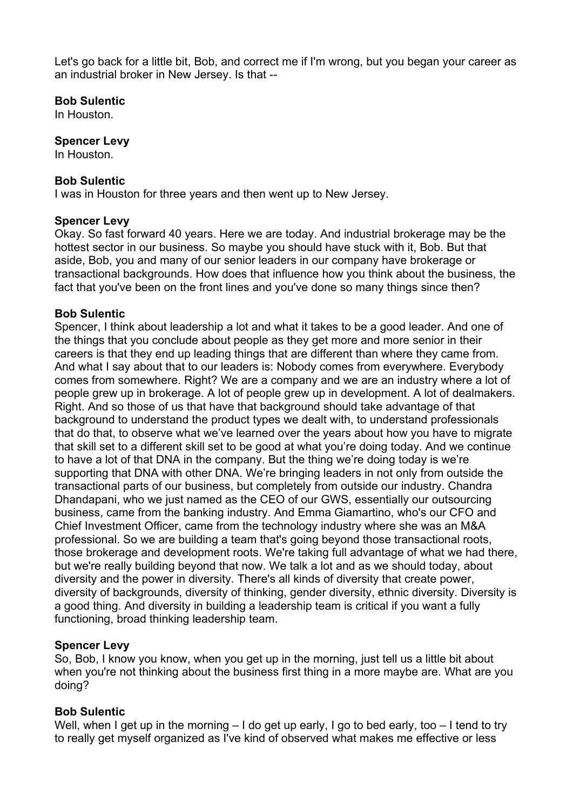Let's go back for a little bit, Bob, and correct me if I'm wrong, but you began your career as an industrial broker in New Jersey. Is that --

#### **Bob Sulentic**

In Houston.

#### **Spencer Levy**

In Houston.

## **Bob Sulentic**

I was in Houston for three years and then went up to New Jersey.

#### **Spencer Levy**

Okay. So fast forward 40 years. Here we are today. And industrial brokerage may be the hottest sector in our business. So maybe you should have stuck with it, Bob. But that aside, Bob, you and many of our senior leaders in our company have brokerage or transactional backgrounds. How does that influence how you think about the business, the fact that you've been on the front lines and you've done so many things since then?

## **Bob Sulentic**

Spencer, I think about leadership a lot and what it takes to be a good leader. And one of the things that you conclude about people as they get more and more senior in their careers is that they end up leading things that are different than where they came from. And what I say about that to our leaders is: Nobody comes from everywhere. Everybody comes from somewhere. Right? We are a company and we are an industry where a lot of people grew up in brokerage. A lot of people grew up in development. A lot of dealmakers. Right. And so those of us that have that background should take advantage of that background to understand the product types we dealt with, to understand professionals that do that, to observe what we've learned over the years about how you have to migrate that skill set to a different skill set to be good at what you're doing today. And we continue to have a lot of that DNA in the company. But the thing we're doing today is we're supporting that DNA with other DNA. We're bringing leaders in not only from outside the transactional parts of our business, but completely from outside our industry. Chandra Dhandapani, who we just named as the CEO of our GWS, essentially our outsourcing business, came from the banking industry. And Emma Giamartino, who's our CFO and Chief Investment Officer, came from the technology industry where she was an M&A professional. So we are building a team that's going beyond those transactional roots, those brokerage and development roots. We're taking full advantage of what we had there, but we're really building beyond that now. We talk a lot and as we should today, about diversity and the power in diversity. There's all kinds of diversity that create power, diversity of backgrounds, diversity of thinking, gender diversity, ethnic diversity. Diversity is a good thing. And diversity in building a leadership team is critical if you want a fully functioning, broad thinking leadership team.

#### **Spencer Levy**

So, Bob, I know you know, when you get up in the morning, just tell us a little bit about when you're not thinking about the business first thing in a more maybe are. What are you doing?

# **Bob Sulentic**

Well, when I get up in the morning – I do get up early, I go to bed early, too – I tend to try to really get myself organized as I've kind of observed what makes me effective or less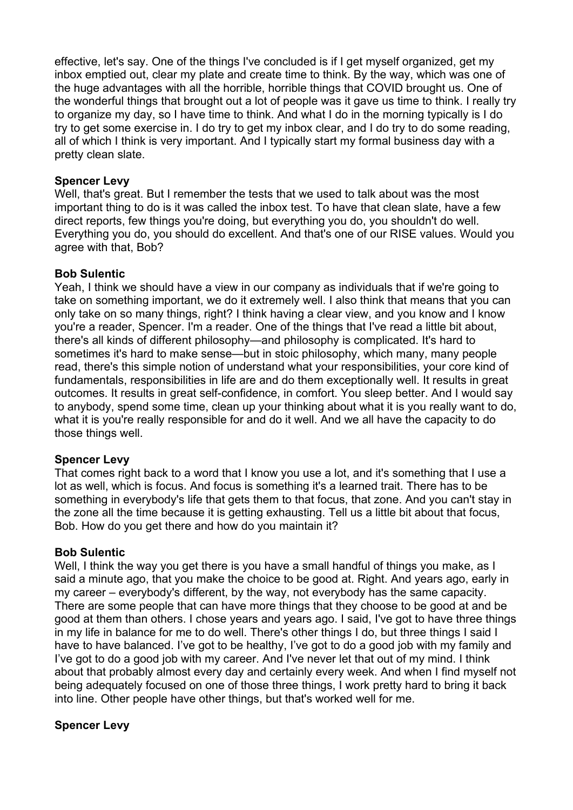effective, let's say. One of the things I've concluded is if I get myself organized, get my inbox emptied out, clear my plate and create time to think. By the way, which was one of the huge advantages with all the horrible, horrible things that COVID brought us. One of the wonderful things that brought out a lot of people was it gave us time to think. I really try to organize my day, so I have time to think. And what I do in the morning typically is I do try to get some exercise in. I do try to get my inbox clear, and I do try to do some reading, all of which I think is very important. And I typically start my formal business day with a pretty clean slate.

#### **Spencer Levy**

Well, that's great. But I remember the tests that we used to talk about was the most important thing to do is it was called the inbox test. To have that clean slate, have a few direct reports, few things you're doing, but everything you do, you shouldn't do well. Everything you do, you should do excellent. And that's one of our RISE values. Would you agree with that, Bob?

## **Bob Sulentic**

Yeah, I think we should have a view in our company as individuals that if we're going to take on something important, we do it extremely well. I also think that means that you can only take on so many things, right? I think having a clear view, and you know and I know you're a reader, Spencer. I'm a reader. One of the things that I've read a little bit about, there's all kinds of different philosophy—and philosophy is complicated. It's hard to sometimes it's hard to make sense—but in stoic philosophy, which many, many people read, there's this simple notion of understand what your responsibilities, your core kind of fundamentals, responsibilities in life are and do them exceptionally well. It results in great outcomes. It results in great self-confidence, in comfort. You sleep better. And I would say to anybody, spend some time, clean up your thinking about what it is you really want to do, what it is you're really responsible for and do it well. And we all have the capacity to do those things well.

#### **Spencer Levy**

That comes right back to a word that I know you use a lot, and it's something that I use a lot as well, which is focus. And focus is something it's a learned trait. There has to be something in everybody's life that gets them to that focus, that zone. And you can't stay in the zone all the time because it is getting exhausting. Tell us a little bit about that focus, Bob. How do you get there and how do you maintain it?

#### **Bob Sulentic**

Well, I think the way you get there is you have a small handful of things you make, as I said a minute ago, that you make the choice to be good at. Right. And years ago, early in my career – everybody's different, by the way, not everybody has the same capacity. There are some people that can have more things that they choose to be good at and be good at them than others. I chose years and years ago. I said, I've got to have three things in my life in balance for me to do well. There's other things I do, but three things I said I have to have balanced. I've got to be healthy, I've got to do a good job with my family and I've got to do a good job with my career. And I've never let that out of my mind. I think about that probably almost every day and certainly every week. And when I find myself not being adequately focused on one of those three things, I work pretty hard to bring it back into line. Other people have other things, but that's worked well for me.

# **Spencer Levy**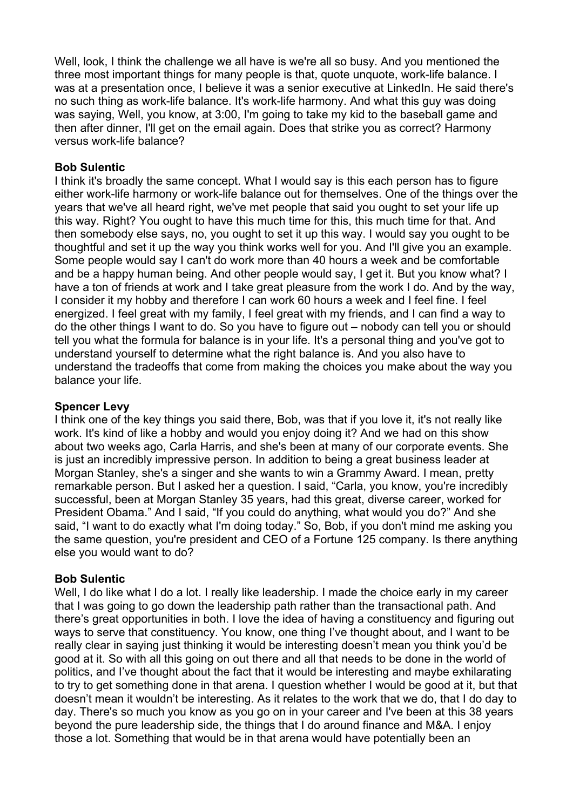Well, look, I think the challenge we all have is we're all so busy. And you mentioned the three most important things for many people is that, quote unquote, work-life balance. I was at a presentation once, I believe it was a senior executive at LinkedIn. He said there's no such thing as work-life balance. It's work-life harmony. And what this guy was doing was saying, Well, you know, at 3:00, I'm going to take my kid to the baseball game and then after dinner, I'll get on the email again. Does that strike you as correct? Harmony versus work-life balance?

## **Bob Sulentic**

I think it's broadly the same concept. What I would say is this each person has to figure either work-life harmony or work-life balance out for themselves. One of the things over the years that we've all heard right, we've met people that said you ought to set your life up this way. Right? You ought to have this much time for this, this much time for that. And then somebody else says, no, you ought to set it up this way. I would say you ought to be thoughtful and set it up the way you think works well for you. And I'll give you an example. Some people would say I can't do work more than 40 hours a week and be comfortable and be a happy human being. And other people would say, I get it. But you know what? I have a ton of friends at work and I take great pleasure from the work I do. And by the way, I consider it my hobby and therefore I can work 60 hours a week and I feel fine. I feel energized. I feel great with my family, I feel great with my friends, and I can find a way to do the other things I want to do. So you have to figure out – nobody can tell you or should tell you what the formula for balance is in your life. It's a personal thing and you've got to understand yourself to determine what the right balance is. And you also have to understand the tradeoffs that come from making the choices you make about the way you balance your life.

#### **Spencer Levy**

I think one of the key things you said there, Bob, was that if you love it, it's not really like work. It's kind of like a hobby and would you enjoy doing it? And we had on this show about two weeks ago, Carla Harris, and she's been at many of our corporate events. She is just an incredibly impressive person. In addition to being a great business leader at Morgan Stanley, she's a singer and she wants to win a Grammy Award. I mean, pretty remarkable person. But I asked her a question. I said, "Carla, you know, you're incredibly successful, been at Morgan Stanley 35 years, had this great, diverse career, worked for President Obama." And I said, "If you could do anything, what would you do?" And she said, "I want to do exactly what I'm doing today." So, Bob, if you don't mind me asking you the same question, you're president and CEO of a Fortune 125 company. Is there anything else you would want to do?

#### **Bob Sulentic**

Well, I do like what I do a lot. I really like leadership. I made the choice early in my career that I was going to go down the leadership path rather than the transactional path. And there's great opportunities in both. I love the idea of having a constituency and figuring out ways to serve that constituency. You know, one thing I've thought about, and I want to be really clear in saying just thinking it would be interesting doesn't mean you think you'd be good at it. So with all this going on out there and all that needs to be done in the world of politics, and I've thought about the fact that it would be interesting and maybe exhilarating to try to get something done in that arena. I question whether I would be good at it, but that doesn't mean it wouldn't be interesting. As it relates to the work that we do, that I do day to day. There's so much you know as you go on in your career and I've been at this 38 years beyond the pure leadership side, the things that I do around finance and M&A. I enjoy those a lot. Something that would be in that arena would have potentially been an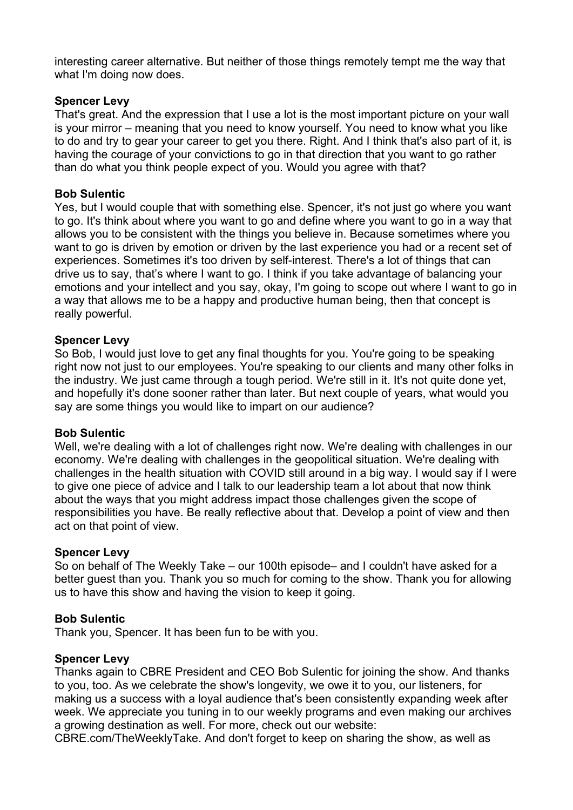interesting career alternative. But neither of those things remotely tempt me the way that what I'm doing now does.

## **Spencer Levy**

That's great. And the expression that I use a lot is the most important picture on your wall is your mirror – meaning that you need to know yourself. You need to know what you like to do and try to gear your career to get you there. Right. And I think that's also part of it, is having the courage of your convictions to go in that direction that you want to go rather than do what you think people expect of you. Would you agree with that?

#### **Bob Sulentic**

Yes, but I would couple that with something else. Spencer, it's not just go where you want to go. It's think about where you want to go and define where you want to go in a way that allows you to be consistent with the things you believe in. Because sometimes where you want to go is driven by emotion or driven by the last experience you had or a recent set of experiences. Sometimes it's too driven by self-interest. There's a lot of things that can drive us to say, that's where I want to go. I think if you take advantage of balancing your emotions and your intellect and you say, okay, I'm going to scope out where I want to go in a way that allows me to be a happy and productive human being, then that concept is really powerful.

#### **Spencer Levy**

So Bob, I would just love to get any final thoughts for you. You're going to be speaking right now not just to our employees. You're speaking to our clients and many other folks in the industry. We just came through a tough period. We're still in it. It's not quite done yet, and hopefully it's done sooner rather than later. But next couple of years, what would you say are some things you would like to impart on our audience?

#### **Bob Sulentic**

Well, we're dealing with a lot of challenges right now. We're dealing with challenges in our economy. We're dealing with challenges in the geopolitical situation. We're dealing with challenges in the health situation with COVID still around in a big way. I would say if I were to give one piece of advice and I talk to our leadership team a lot about that now think about the ways that you might address impact those challenges given the scope of responsibilities you have. Be really reflective about that. Develop a point of view and then act on that point of view.

#### **Spencer Levy**

So on behalf of The Weekly Take – our 100th episode– and I couldn't have asked for a better guest than you. Thank you so much for coming to the show. Thank you for allowing us to have this show and having the vision to keep it going.

#### **Bob Sulentic**

Thank you, Spencer. It has been fun to be with you.

#### **Spencer Levy**

Thanks again to CBRE President and CEO Bob Sulentic for joining the show. And thanks to you, too. As we celebrate the show's longevity, we owe it to you, our listeners, for making us a success with a loyal audience that's been consistently expanding week after week. We appreciate you tuning in to our weekly programs and even making our archives a growing destination as well. For more, check out our website:

CBRE.com/TheWeeklyTake. And don't forget to keep on sharing the show, as well as